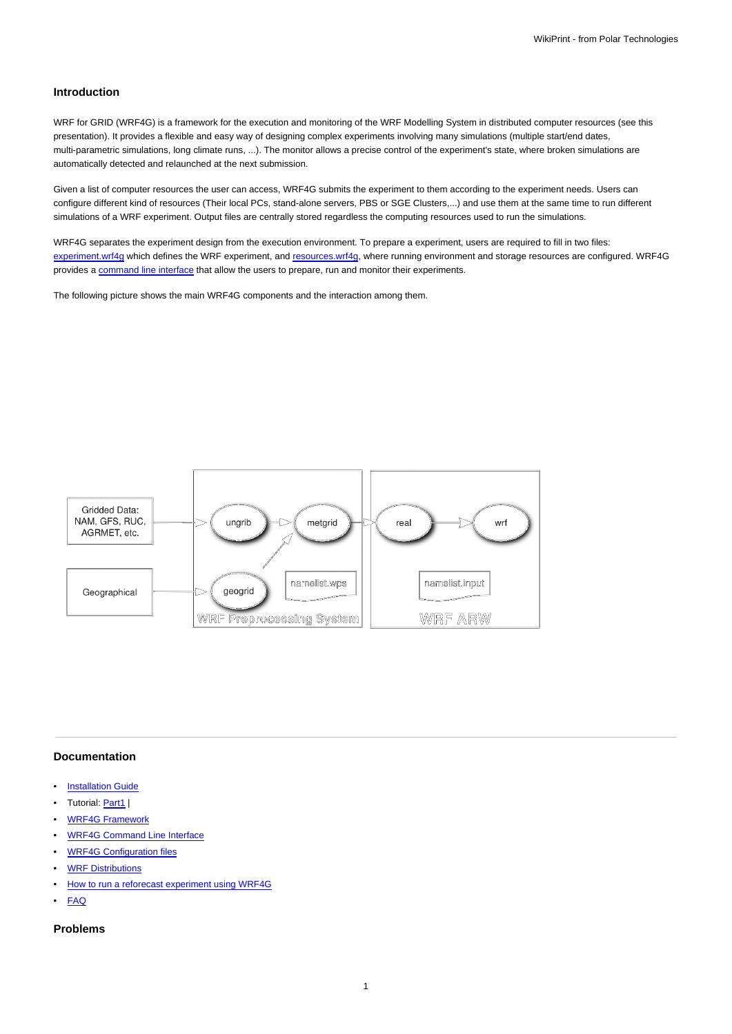## **Introduction**

WRF for GRID (WRF4G) is a framework for the execution and monitoring of the WRF Modelling System in distributed computer resources (see this presentation). It provides a flexible and easy way of designing complex experiments involving many simulations (multiple start/end dates, multi-parametric simulations, long climate runs, ...). The monitor allows a precise control of the experiment's state, where broken simulations are automatically detected and relaunched at the next submission.

Given a list of computer resources the user can access, WRF4G submits the experiment to them according to the experiment needs. Users can configure different kind of resources (Their local PCs, stand-alone servers, PBS or SGE Clusters,...) and use them at the same time to run different simulations of a WRF experiment. Output files are centrally stored regardless the computing resources used to run the simulations.

WRF4G separates the experiment design from the execution environment. To prepare a experiment, users are required to fill in two files: [experiment.wrf4g](https://meteo.unican.es/trac/wiki/WRF4Gexperiment_wrf4g) which defines the WRF experiment, and [resources.wrf4g,](https://meteo.unican.es/trac/wiki/WRF4Gresources_wrf4g) where running environment and storage resources are configured. WRF4G provides a [command line interface](https://meteo.unican.es/trac/wiki/WRF4GCommandLineInterface) that allow the users to prepare, run and monitor their experiments.

The following picture shows the main WRF4G components and the interaction among them.



## **Documentation**

- [Installation Guide](https://meteo.unican.es/trac/wiki/WRF4GInstall)
- Tutorial: [Part1](https://meteo.unican.es/trac/wiki/WRF4GTutorial) |
- [WRF4G Framework](https://meteo.unican.es/trac/wiki/WRF4GFrameworkConfiguration)
- [WRF4G Command Line Interface](https://meteo.unican.es/trac/wiki/WRF4GCommandLineInterface)
- [WRF4G Configuration files](https://meteo.unican.es/trac/wiki/WRF4GConfigurationFiles)
- [WRF Distributions](https://meteo.unican.es/trac/wiki/WRF4GWRFDistributions)
- [How to run a reforecast experiment using WRF4G](https://meteo.unican.es/trac/wiki/WRF4GWRFReforecast)
- [FAQ](https://meteo.unican.es/trac/wiki/WRF4GFAQ)

## **Problems**